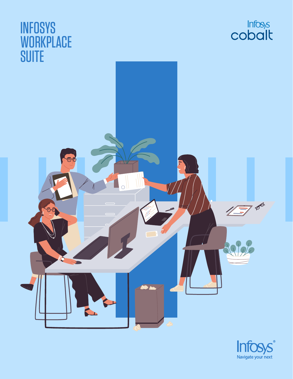





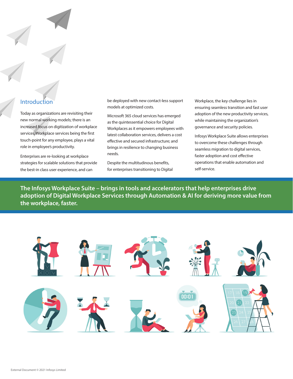# Introduction

Today as organizations are revisiting their new normal working models; there is an increased focus on digitization of workplace services. Workplace services being the first touch-point for any employee, plays a vital role in employee's productivity.

Enterprises are re-looking at workplace strategies for scalable solutions that provide the best-in class user experience, and can

be deployed with new contact-less support models at optimized costs.

Microsoft 365 cloud services has emerged as the quintessential choice for Digital Workplaces as it empowers employees with latest collaboration services, delivers a cost effective and secured infrastructure; and brings in resilience to changing business needs.

Despite the multitudinous benefits, for enterprises transitioning to Digital Workplace, the key challenge lies in ensuring seamless transition and fast user adoption of the new productivity services, while maintaining the organization's governance and security policies.

Infosys Workplace Suite allows enterprises to overcome these challenges through seamless migration to digital services, faster adoption and cost effective operations that enable automation and self-service.

**The Infosys Workplace Suite – brings in tools and accelerators that help enterprises drive adoption of Digital Workplace Services through Automation & AI for deriving more value from the workplace, faster.**

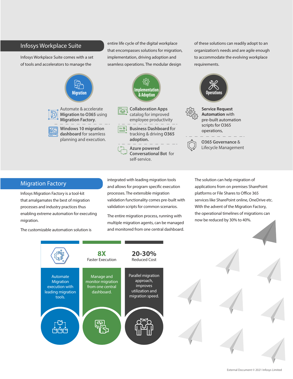#### Infosys Workplace Suite

Infosys Workplace Suite comes with a set of tools and accelerators to manage the



entire life cycle of the digital workplace that encompasses solutions for migration, implementation, driving adoption and seamless operations. The modular design

of these solutions can readily adopt to an organization's needs and are agile enough to accommodate the evolving workplace requirements.



# Migration Factory

Infosys Migration Factory is a tool-kit that amalgamates the best of migration processes and industry practices thus enabling extreme automation for executing migration.

The customizable automation solution is

integrated with leading migration tools and allows for program specific execution processes. The extensible migration validation functionality comes pre-built with validation scripts for common scenarios.

The entire migration process, running with multiple migration agents, can be managed and monitored from one central dashboard. The solution can help migration of applications from on premises SharePoint platforms or File Shares to Office 365 services like SharePoint online, OneDrive etc. With the advent of the Migration Factory, the operational timelines of migrations can now be reduced by 30% to 40%.



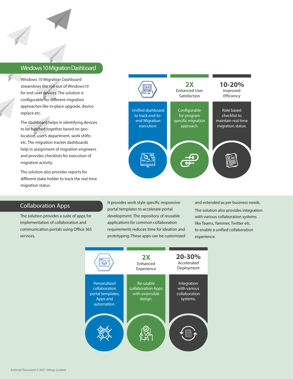#### Windows 10 Migration Dashboard

Windows 10 Migration Dashboard streamlines the roll-out of Windows10 for end user devices. The solution is configurable for different migration approaches like in-place upgrade, device replace etc.

The dashboard helps in identifying devices to be batched together based on geolocation, user's department, work shifts etc. The migration tracker dashboards help in assignment of migration engineers and provides checklists for execution of migration activity.

The solution also provides reports for different stake holder to track the real time migration status.



#### Collaboration Apps

The solution provides a suite of apps for implementation of collaboration and communication portals using Office 365 services.

It provides work style specific responsive portal templates to accelerate portal development. The repository of reusable applications for common collaboration requirements reduces time for ideation and prototyping. These apps can be customized and extended as per business needs. The solution also provides integration with various collaboration systems like Teams, Yammer, Twitter etc. to enable a unified collaboration experience.

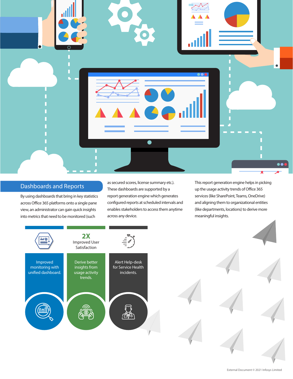

# Dashboards and Reports

By using dashboards that bring in key statistics across Office 365 platforms onto a single pane view, an administrator can gain quick insights into metrics that need to be monitored (such

as secured scores, license summary etc.). These dashboards are supported by a report generation engine which generates configured reports at scheduled intervals and enables stakeholders to access them anytime across any device.

This report generation engine helps in picking up the usage activity trends of Office 365 services (like SharePoint, Teams, OneDrive) and aligning them to organizational entities (like departments, locations) to derive more meaningful insights.



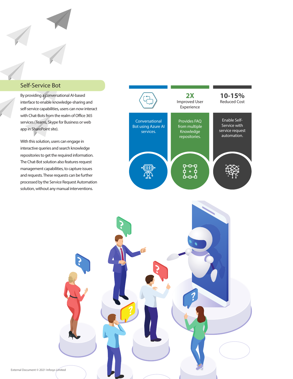## Self-Service Bot

By providing a conversational AI-based interface to enable knowledge-sharing and self-service capabilities, users can now interact with Chat-Bots from the realm of Office 365 services (Teams, Skype for Business or web app in SharePoint site).

With this solution, users can engage in interactive queries and search knowledge repositories to get the required information. The Chat-Bot solution also features request management capabilities, to capture issues and requests. These requests can be further processed by the Service Request Automation solution, without any manual interventions.



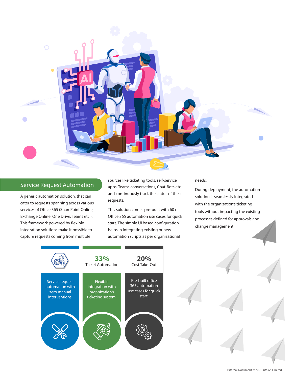

## Service Request Automation

A generic automation solution, that can cater to requests spanning across various services of Office 365 (SharePoint Online, Exchange Online, One Drive, Teams etc.). This framework powered by flexible integration solutions make it possible to capture requests coming from multiple

sources like ticketing tools, self-service apps, Teams conversations, Chat-Bots etc. and continuously track the status of these requests.

This solution comes pre-built with 60+ Office 365 automation use cases for quick start. The simple UI based configuration helps in integrating existing or new automation scripts as per organizational

needs.

During deployment, the automation solution is seamlessly integrated with the organization's ticketing tools without impacting the existing processes defined for approvals and change management.